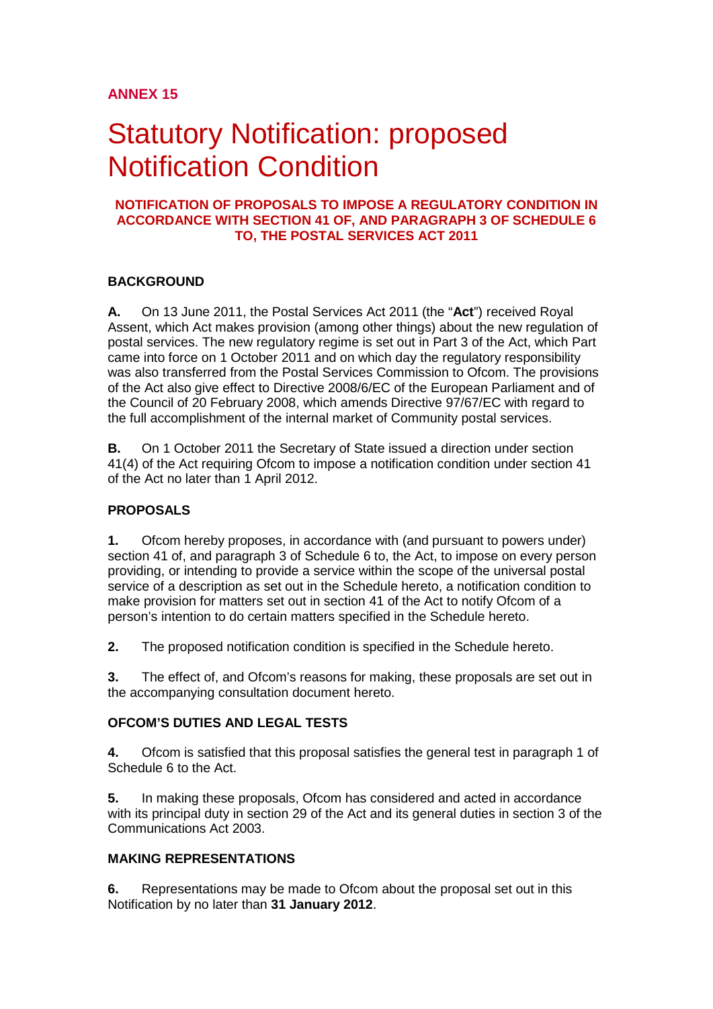## **ANNEX 15**

# **Statutory Notification: proposed** Notification Condition

#### **NOTIFICATION OF PROPOSALS TO IMPOSE A REGULATORY CONDITION IN ACCORDANCE WITH SECTION 41 OF, AND PARAGRAPH 3 OF SCHEDULE 6 TO, THE POSTAL SERVICES ACT 2011**

#### **BACKGROUND**

**A.** On 13 June 2011, the Postal Services Act 2011 (the "**Act**") received Royal Assent, which Act makes provision (among other things) about the new regulation of postal services. The new regulatory regime is set out in Part 3 of the Act, which Part came into force on 1 October 2011 and on which day the regulatory responsibility was also transferred from the Postal Services Commission to Ofcom. The provisions of the Act also give effect to Directive 2008/6/EC of the European Parliament and of the Council of 20 February 2008, which amends Directive 97/67/EC with regard to the full accomplishment of the internal market of Community postal services.

**B.** On 1 October 2011 the Secretary of State issued a direction under section 41(4) of the Act requiring Ofcom to impose a notification condition under section 41 of the Act no later than 1 April 2012.

#### **PROPOSALS**

**1.** Ofcom hereby proposes, in accordance with (and pursuant to powers under) section 41 of, and paragraph 3 of Schedule 6 to, the Act, to impose on every person providing, or intending to provide a service within the scope of the universal postal service of a description as set out in the Schedule hereto, a notification condition to make provision for matters set out in section 41 of the Act to notify Ofcom of a person's intention to do certain matters specified in the Schedule hereto.

**2.** The proposed notification condition is specified in the Schedule hereto.

**3.** The effect of, and Ofcom's reasons for making, these proposals are set out in the accompanying consultation document hereto.

#### **OFCOM'S DUTIES AND LEGAL TESTS**

**4.** Ofcom is satisfied that this proposal satisfies the general test in paragraph 1 of Schedule 6 to the Act.

**5.** In making these proposals, Ofcom has considered and acted in accordance with its principal duty in section 29 of the Act and its general duties in section 3 of the Communications Act 2003.

#### **MAKING REPRESENTATIONS**

**6.** Representations may be made to Ofcom about the proposal set out in this Notification by no later than **31 January 2012**.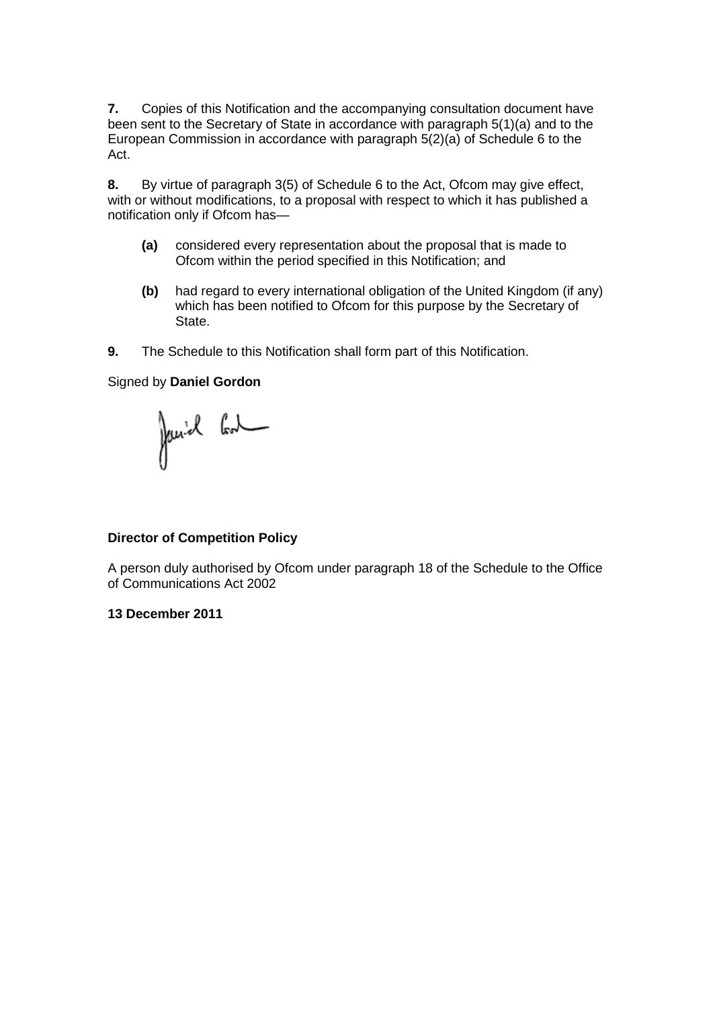**7.** Copies of this Notification and the accompanying consultation document have been sent to the Secretary of State in accordance with paragraph 5(1)(a) and to the European Commission in accordance with paragraph 5(2)(a) of Schedule 6 to the Act.

**8.** By virtue of paragraph 3(5) of Schedule 6 to the Act, Ofcom may give effect, with or without modifications, to a proposal with respect to which it has published a notification only if Ofcom has—

- **(a)** considered every representation about the proposal that is made to Ofcom within the period specified in this Notification; and
- **(b)** had regard to every international obligation of the United Kingdom (if any) which has been notified to Ofcom for this purpose by the Secretary of State.
- **9.** The Schedule to this Notification shall form part of this Notification.

#### Signed by **Daniel Gordon**

Janiel Cont

#### **Director of Competition Policy**

A person duly authorised by Ofcom under paragraph 18 of the Schedule to the Office of Communications Act 2002

#### **13 December 2011**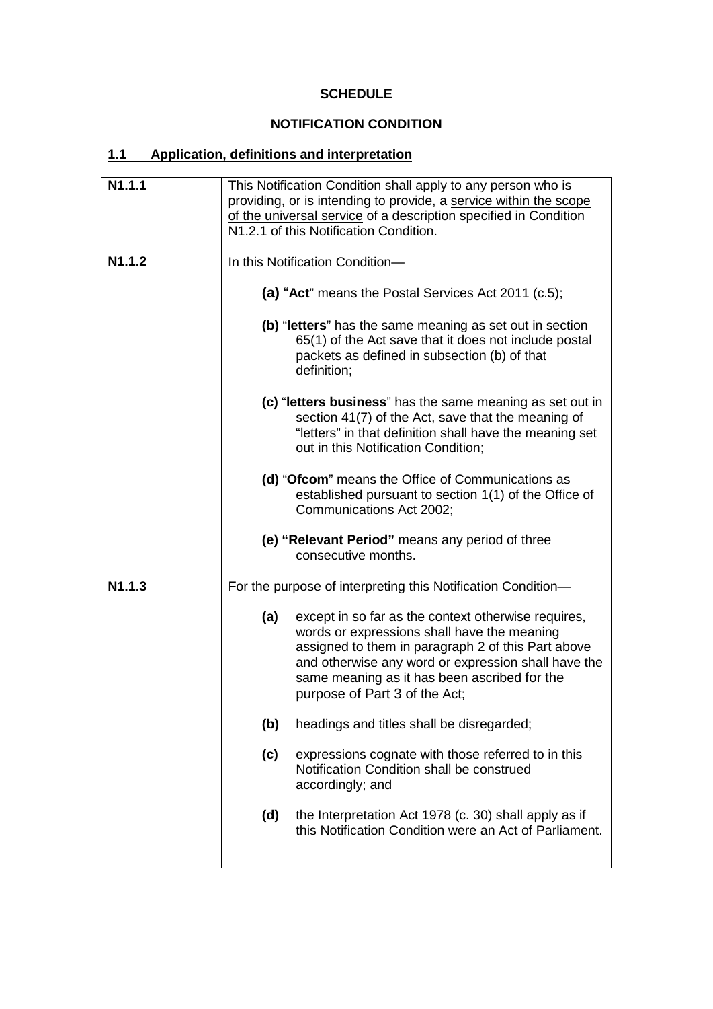# **SCHEDULE**

## **NOTIFICATION CONDITION**

# **1.1 Application, definitions and interpretation**

| This Notification Condition shall apply to any person who is<br>providing, or is intending to provide, a service within the scope<br>of the universal service of a description specified in Condition<br>N1.2.1 of this Notification Condition.                                                                                                                                                                                                                                                                                                                                                                                                                                                                     |  |  |                                                                                                                                                                                                                                                                 |
|---------------------------------------------------------------------------------------------------------------------------------------------------------------------------------------------------------------------------------------------------------------------------------------------------------------------------------------------------------------------------------------------------------------------------------------------------------------------------------------------------------------------------------------------------------------------------------------------------------------------------------------------------------------------------------------------------------------------|--|--|-----------------------------------------------------------------------------------------------------------------------------------------------------------------------------------------------------------------------------------------------------------------|
| In this Notification Condition-<br>(a) "Act" means the Postal Services Act 2011 (c.5);<br>(b) "letters" has the same meaning as set out in section<br>65(1) of the Act save that it does not include postal<br>packets as defined in subsection (b) of that<br>definition;<br>(c) "letters business" has the same meaning as set out in<br>section 41(7) of the Act, save that the meaning of<br>"letters" in that definition shall have the meaning set<br>out in this Notification Condition;<br>(d) "Ofcom" means the Office of Communications as<br>established pursuant to section 1(1) of the Office of<br>Communications Act 2002;<br>(e) "Relevant Period" means any period of three<br>consecutive months. |  |  |                                                                                                                                                                                                                                                                 |
|                                                                                                                                                                                                                                                                                                                                                                                                                                                                                                                                                                                                                                                                                                                     |  |  | For the purpose of interpreting this Notification Condition-                                                                                                                                                                                                    |
|                                                                                                                                                                                                                                                                                                                                                                                                                                                                                                                                                                                                                                                                                                                     |  |  | except in so far as the context otherwise requires,<br>words or expressions shall have the meaning<br>assigned to them in paragraph 2 of this Part above<br>and otherwise any word or expression shall have the<br>same meaning as it has been ascribed for the |
|                                                                                                                                                                                                                                                                                                                                                                                                                                                                                                                                                                                                                                                                                                                     |  |  |                                                                                                                                                                                                                                                                 |
|                                                                                                                                                                                                                                                                                                                                                                                                                                                                                                                                                                                                                                                                                                                     |  |  | expressions cognate with those referred to in this                                                                                                                                                                                                              |
|                                                                                                                                                                                                                                                                                                                                                                                                                                                                                                                                                                                                                                                                                                                     |  |  | the Interpretation Act 1978 (c. 30) shall apply as if<br>this Notification Condition were an Act of Parliament.                                                                                                                                                 |
|                                                                                                                                                                                                                                                                                                                                                                                                                                                                                                                                                                                                                                                                                                                     |  |  |                                                                                                                                                                                                                                                                 |